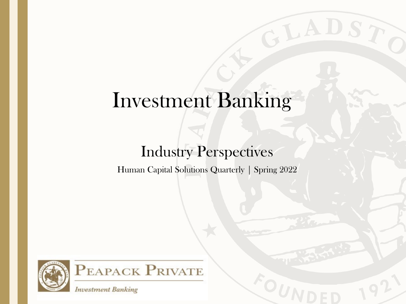# Investment Banking

GLADS

### Industry Perspectives

Human Capital Solutions Quarterly | Spring 2022





**Investment Banking**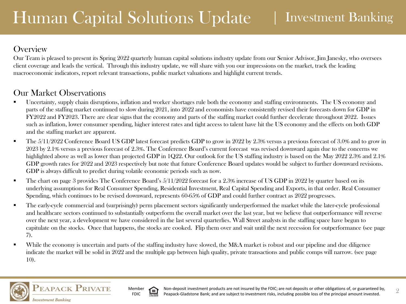### **Overview**

Our Team is pleased to present its Spring 2022 quarterly human capital solutions industry update from our Senior Advisor, Jim Janesky, who oversees client coverage and leads the vertical. Through this industry update, we will share with you our impressions on the market, track the leading macroeconomic indicators, report relevant transactions, public market valuations and highlight current trends.

### Our Market Observations

- Uncertainty, supply chain disruptions, inflation and worker shortages rule both the economy and staffing environments. The US economy and parts of the staffing market continued to slow during 2021, into 2022 and economists have consistently revised their forecasts down for GDP in FY2022 and FY2023. There are clear signs that the economy and parts of the staffing market could further decelerate throughout 2022. Issues such as inflation, lower consumer spending, higher interest rates and tight access to talent have hit the US economy and the effects on both GDP and the staffing market are apparent.
- The 5/11/2022 Conference Board US GDP latest forecast predicts GDP to grow in 2022 by 2.3% versus a previous forecast of 3.0% and to grow in 2023 by 2.1% versus a previous forecast of 2.3%. The Conference Board's current forecast was revised downward again due to the concerns we highlighted above as well as lower than projected GDP in 1Q22. Our outlook for the US staffing industry is based on the May 2022 2.3% and 2.1% GDP growth rates for 2022 and 2023 respectively but note that future Conference Board updates would be subject to further downward revisions. GDP is always difficult to predict during volatile economic periods such as now.
- The chart on page 3 provides The Conference Board's  $5/11/2022$  forecast for a 2.3% increase of US GDP in 2022 by quarter based on its underlying assumptions for Real Consumer Spending, Residential Investment, Real Capital Spending and Exports, in that order. Real Consumer Spending, which continues to be revised downward, represents 60-65% of GDP and could further contract as 2022 progresses.
- The early-cycle commercial and (surprisingly) perm placement sectors significantly underperformed the market while the later-cycle professional and healthcare sectors continued to substantially outperform the overall market over the last year, but we believe that outperformance will reverse over the next year, a development we have considered in the last several quarterlies. Wall Street analysts in the staffing space have begun to capitulate on the stocks. Once that happens, the stocks are cooked. Flip them over and wait until the next recession for outperformance (see page 7).
- While the economy is uncertain and parts of the staffing industry have slowed, the M&A market is robust and our pipeline and due diligence indicate the market will be solid in 2022 and the multiple gap between high quality, private transactions and public comps will narrow. (see page 10).



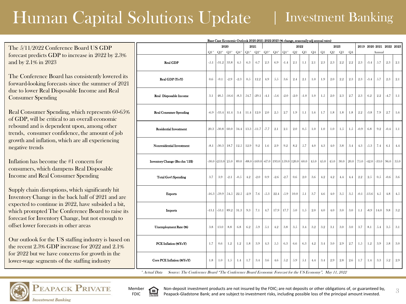# Human Capital Solutions Update

### | Investment Banking

The 5/11/2022 Conference Board US GDP forecast predicts GDP to increase in 2022 by 2.3% and by 2.1% in 2023

The Conference Board has consistently lowered its forward-looking forecasts since the summer of 2021 due to lower Real Disposable Income and Real Consumer Spending

Real Consumer Spending, which represents 60-65% of GDP, will be critical to an overall economic rebound and is dependent upon, among other trends, consumer confidence, the amount of job growth and inflation, which are all experiencing negative trends

Inflation has become the #1 concern for consumers, which dampens Real Disposable Income and Real Consumer Spending

Supply chain disruptions, which significantly hit Inventory Change in the back half of 2021 and are expected to continue in 2022, have subsided a bit, which prompted The Conference Board to raise its forecast for Inventory Change, but not enough to offset lower forecasts in other areas

Our outlook for the US staffing industry is based on the recent 2.3% GDP increase for 2022 and 2.1% for 2022 but we have concerns for growth in the lower-wage segments of the staffing industry

| Base Case Economic Outlook 2020-2021-2022-2023 (% change, seasonally adj annual rates) |         |          |         |        |         |          |         |        |        |        |                |            |      |      |      |                |         |         |                          |        |      |
|----------------------------------------------------------------------------------------|---------|----------|---------|--------|---------|----------|---------|--------|--------|--------|----------------|------------|------|------|------|----------------|---------|---------|--------------------------|--------|------|
|                                                                                        | 2020    |          |         |        |         | 2021     |         |        |        |        | 2022           |            |      |      | 2023 |                |         |         | 2019 2020 2021 2022 2023 |        |      |
|                                                                                        | $Q1^*$  | $Q2^*$   | $Q3*$   | $Q4*$  | $Q1^*$  | $Q2*$    | $Q3*$   | $Q4*$  | $Q1*$  | Q2     | Q <sub>3</sub> | ${\bf Q}4$ | Q1   | Q2   | Q3   | Q <sub>4</sub> |         |         | Annual                   |        |      |
| <b>Real GDP</b>                                                                        | $-5.1$  | $-31.2$  | 33.8    | 4.5    | 6.3     | 6.7      | 2.3     | 6.9    | $-1.4$ | 2.1    | 1.1            | 2.1        | 2.3  | 2.3  | 2.2  | 2.2            | 2.3     | $-3.4$  | 5.7                      | 2.3    | 2.1  |
| Real GDP (YoY)                                                                         | 0.6     | $-9.1$   | $-2.9$  | $-2.3$ | 0.5     | 12.2     | 4.9     | 5.5    | 3.6    | 2.4    | 2.1            | 1.0        | 1.9  | 2.0  | 2.2  | 2.3            | 2.3     | $-3.4$  | 5.7                      | 2.3    | 2.1  |
| Real Disposable Income                                                                 | 3.1     | 48.5     | $-16.6$ | $-8.3$ | 54.7    | $-29.1$  | $-4.1$  | $-5.6$ | $-2.0$ | $-2.0$ | $-1.0$         | 1.0        | 1.5  | 2.0  | 2.3  | 2.7            | 2.3     | 6.2     | 2.2                      | $-4.7$ | 1.1  |
| <b>Real Consumer Spending</b>                                                          | $-6.9$  | $-33.4$  | 41.4    | 3.4    | 11.4    | 12.0     | 2.0     | 2.5    | 2.7    | 1.9    | 1.1            | 1.6        | 1.7  | 1.8  | 1.8  | 1.8            | 2.2     | $-3.8$  | 7.9                      | 2.7    | 1.6  |
| <b>Residential Investment</b>                                                          | 20.3    | $-30.8$  | 60.0    | 34.4   | 13.3    | $-11.7$  | $-7.7$  | 2.1    | 2.1    | 2.0    | 0.5            | 1.0        | 1.0  | 1.0  | 1.5  | 1.5            | $-0.9$  | 6.8     | 9.2                      | $-0.4$ | 1.1  |
| Nonresidential Investment                                                              | $-8.1$  | $-30.3$  | 18.7    | 12.5   | 12.9    | 9.2      | 1.6     | 2.9    | 9.2    | 8.2    | 5.7            | 4.0        | 4.3  | 4.0  | 3.8  | 3.4            | 4.3     | $-5.3$  | 7.4                      | 6.1    | 4.4  |
| Inventory Change (Bn chn '12\$)                                                        | $-30.0$ | $-253.0$ | 25.0    | 89.0   | $-88.0$ | $-169.0$ | $-67.0$ | 193.0  | 159.0  | 120.0  | 60.0           | 45.0       | 45.0 | 45.0 | 30.0 | 20.0           | 75.0    | $-42.0$ | $-33.0$                  | 96.0   | 35.0 |
| <b>Total Govt Spending</b>                                                             | 3.7     | 3.9      | $-2.1$  | $-0.5$ | 4.2     | $-2.0$   | 0.9     | $-2.6$ | $-2.7$ | 0.6    | 2.0            | 3.6        | 4.2  | 4.2  | 4.4  | 4.4            | $2.2\,$ | 2.5     | 0.5                      | $-0.6$ | 3.6  |
| <b>Exports</b>                                                                         | $-16.3$ | $-59.9$  | 54.5    | 22.5   | $-2.9$  | 7.6      | $-5.3$  | 22.4   | $-5.9$ | 10.0   | 5.1            | 3.7        | 4.6  | 4.0  | 3.5  | 3.5            | $-0.1$  | $-13.6$ | 4.5                      | 4.8    | 4.5  |
| <b>Imports</b>                                                                         | $-13.1$ | $-53.1$  | 89.2    | 31.3   | 9.3     | 7.1      | 4.7     | 17.9   | 17.7   | 5.0    | 1.5            | 2.0        | 4.0  | 4.0  | 3.0  | 3.0            | 1.1     | $-8.9$  | 14.0                     | 9.8    | 3.2  |
| Unemployment Rate (%)                                                                  | 3.8     | 13.0     | 8.8     | 6.8    | 6.2     | 5.9      | 5.1     | 4.2    | 3.8    | 3.5    | 3.4            | 3.2        | 3.2  | 3.1  | 3.0  | 3.0            | 3.7     | 8.1     | 5.4                      | 3.5    | 3.1  |
| PCE Inflation (%YoY)                                                                   | 1.7     | 0.6      | 1.2     | 1.2    | 1.8     | 3.9      | 4.3     | 5.5    | 6.3    | 6.6    | 6.3            | 4.2        | 3.4  | 3.0  | 2.9  | 2.7            | 1.5     | 1.2     | 3.9                      | 5.8    | 3.0  |
| Core PCE Inflation (%YoY)                                                              | 1.8     | 1.0      | 1.5     | 1.4    | 1.7     | 3.4      | 3.6     | 4.6    | 5.2    | 5.9    | $5.1\,$        | 4.4        | 3.4  | 2.9  | 2.8  | 2.6            | 1.7     | 1.4     | 3.3                      | 5.2    | 2.9  |

Source: The Conference Board "The Conference Board Economic Forecast for the US Economy", May 11, 2022 \* Actual Data



Member FDIC

Non-deposit investment products are not insured by the FDIC; are not deposits or other obligations of, or guaranteed by, Peapack-Gladstone Bank; and are subject to investment risks, including possible loss of the principal amount invested.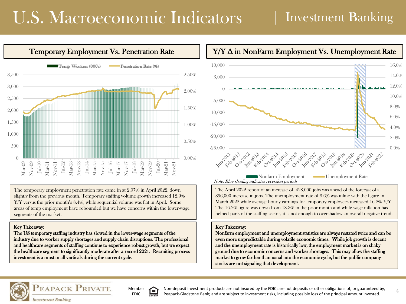# U.S. Macroeconomic Indicators

### | Investment Banking



The temporary employment penetration rate came in at 2.07% in April 2022, down slightly from the previous month. Temporary staffing volume growth increased 12.9% Y/Y versus the prior month's 8.4%, while sequential volume was flat in April. Some areas of temp employment have rebounded but we have concerns within the lower-wage segments of the market.

#### Key Takeaway:

The US temporary staffing industry has slowed in the lower-wage segments of the industry due to worker supply shortages and supply chain disruptions. The professional and healthcare segments of staffing continue to experience robust growth, but we expect the healthcare segment to significantly moderate after a record 2021. Recruiting process investment is a must in all verticals during the current cycle.



The April 2022 report of an increase of 428,000 jobs was ahead of the forecast of a 396,000 increase in jobs. The unemployment rate of 3.6% was inline with the figure in March 2022 while average hourly earnings for temporary employees increased 16.2% Y/Y. The 16.2% figure was down from 18.3% in the prior month and while wage inflation has helped parts of the staffing sector, it is not enough to overshadow an overall negative trend.

#### Key Takeaway:

Nonfarm employment and unemployment statistics are always restated twice and can be even more unpredictable during volatile economic times. While job growth is decent and the unemployment rate is historically low, the employment market is on shaky ground due to economic concerns and worker shortages. This may allow the staffing market to grow farther than usual into the economic cycle, but the public company stocks are not signaling that development.





Ξ

Non-deposit investment products are not insured by the FDIC; are not deposits or other obligations of, or guaranteed by, Peapack-Gladstone Bank; and are subject to investment risks, including possible loss of the principal amount invested.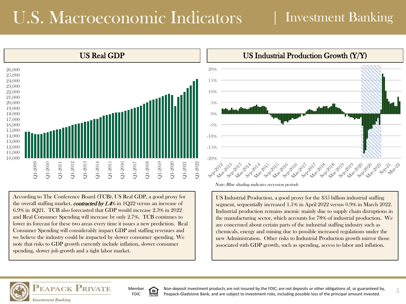# U.S. Macroeconomic Indicators | Investment Banking



According to The Conference Board (TCB), US Real GDP, a good proxy for the overall staffing market, **contracted by 1.4%** in  $1Q22$  versus an increase of 6.9% in 4Q21. TCB also forecasted that GDP would increase 2.3% in 2022 and Real Consumer Spending will increase by only 2.7%. TCB continues to lower its forecast for these two areas every time it issues a new prediction. Real Consumer Spending will considerably impact GDP and staffing revenues and we believe the industry could be impacted by slower consumer spending. We note that risks to GDP growth currently include inflation, slower consumer spending, slower job growth and a tight labor market.



Note: Blue shading indicates recession periods

US Industrial Production, a good proxy for the \$35 billion industrial staffing segment, sequentially increased 1.1% in April 2022 versus 0.9% in March 2022. Industrial production remains anemic mainly due to supply chain disruptions in the manufacturing sector, which accounts for 78% of industrial production. We are concerned about certain parts of the industrial staffing industry such as chemicals, energy and mining due to possible increased regulations under the new Administration. Other risks to Industrial Production growth mirror those associated with GDP growth, such as spending, access to labor and inflation.



Member Ξ FDIC

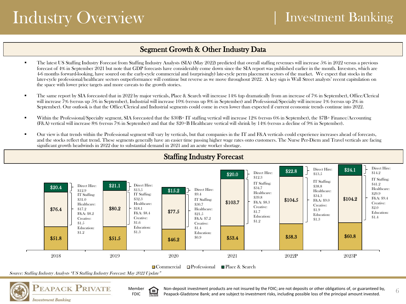# Industry Overview

### Segment Growth & Other Industry Data

- The latest US Staffing Industry Forecast from Staffing Industry Analysts (SIA) (May 2022) predicted that overall staffing revenues will increase 5% in 2022 versus a previous forecast of 4% in September 2021 but note that GDP forecasts have considerably come down since the SIA report was published earlier in the month. Investors, which are 4-6 months forward-looking, have soured on the early-cycle commercial and (surprisingly) late-cycle perm placement sectors of the market. We expect that stocks in the later-cycle professional/healthcare sectors outperformance will continue but reverse as we move throughout 2022. A key sign is Wall Street analysts' recent capitulation on the space with lower price targets and more caveats to the growth stories.
- The same report by SIA forecasted that in 2022 by major verticals, Place & Search will increase 14% (up dramatically from an increase of 7% in September), Office/Clerical will increase 7% (versus up 5% in September), Industrial will increase 10% (versus up 8% in September) and Professional/Specialty will increase 1% (versus up 2% in September). Our outlook is that the Office/Clerical and Industrial segments could come in even lower than expected if current economic trends continue into 2022.
- Within the Professional/Specialty segment, SIA forecasted that the  $$30B+TT$  staffing vertical will increase 12% (versus 6% in September), the  $$7B+Finance/Accounting$ (F&A) vertical will increase 8% (versus 7% in September) and that the \$20+B Healthcare vertical will shrink by 14% (versus a decline of 9% in September).
- Our view is that trends within the Professional segment will vary by verticals, but that companies in the IT and F&A verticals could experience increases ahead of forecasts, and the stocks reflect that trend. These segments generally have an easier time passing higher wage rates onto customers. The Nurse Per-Diem and Travel verticals are facing significant growth headwinds in 2022 due to substantial demand in 2021 and an acute worker shortage.



Source: Staffing Industry Analysts "US Staffing Industry Forecast: May 2022 Update"



Member Έ FDIC

Non-deposit investment products are not insured by the FDIC; are not deposits or other obligations of, or guaranteed by,  $6\frac{1}{2}$ Peapack-Gladstone Bank; and are subject to investment risks, including possible loss of the principal amount invested.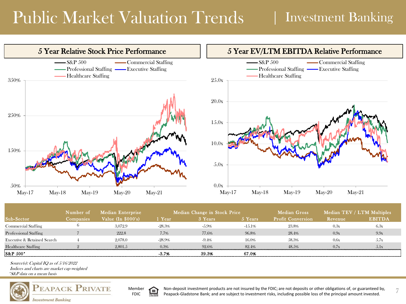# Public Market Valuation Trends

### | Investment Banking



|                             | Number of | <b>Median Enterprise</b> |           | Median Change in Stock Price |          | Median Gross             |         | Median TEV / LTM Multiples |
|-----------------------------|-----------|--------------------------|-----------|------------------------------|----------|--------------------------|---------|----------------------------|
| Sub-Sector                  | Companies | Value $(In $000's)$      | 1 Year    | 3 Years                      | 5 Years  | <b>Profit Conversion</b> | Revenue | <b>EBITDA</b>              |
| <b>Commercial Staffing</b>  |           | 3,072.9                  | $-28.3\%$ | $-5.9\%$                     | $-15.1%$ | 23.8%                    | 0.3x    | 6.3x                       |
| Professional Staffing       |           | 222.8                    | 7.7%      | 77.6%                        | 96.8%    | 28.4%                    | 0.9x    | 9.9 <sub>x</sub>           |
| Executive & Retained Search |           | 2.078.0                  | $-28.9\%$ | $-9.4%$                      | 16.0%    | 58.3%                    | 0.6x    | 5.7x                       |
| Healthcare Staffing         |           | 2.801.5                  | 0.3%      | 92.6%                        | 82.4%    | 48.5%                    | 0.7x    | 5.1x                       |
| IS&P 500*                   |           |                          | $-3.7%$   | 39.3%                        | 67.0%    |                          |         |                            |

\*S&P data on a mean basis Source(s): Capital IQ as of 5/16/2022 Indices and charts are market cap weighted





Non-deposit investment products are not insured by the FDIC; are not deposits or other obligations of, or guaranteed by,  $\frac{1}{7}$ Peapack-Gladstone Bank; and are subject to investment risks, including possible loss of the principal amount invested.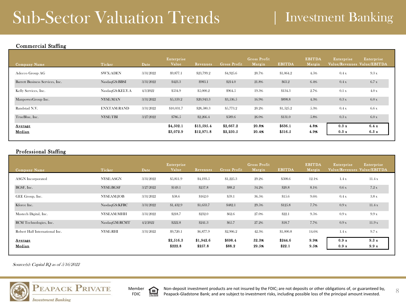# Sub-Sector Valuation Trends | Investment Banking

#### Commercial Staffing

| Company Name                    | Ticker             | Date      | Enterprise<br>Value | Revenues   | Gross Profit | Gross Profit<br>Margin | <b>EBITDA</b> | <b>EBITDA</b><br>Margin | Enterprise<br>Value/Revenues Value/EBITDA | Enterprise |
|---------------------------------|--------------------|-----------|---------------------|------------|--------------|------------------------|---------------|-------------------------|-------------------------------------------|------------|
| Adecco Group AG                 | <b>SWX:ADEN</b>    | 3/31/2022 | \$9,877.1           | \$23,799.2 | \$4,925.6    | 20.7%                  | \$1,064.2     | 4.5%                    | 0.4x                                      | 9.3x       |
| Barrett Business Services, Inc. | NasdaqGS:BBSI      | 3/31/2022 | \$423.3             | \$983.1    | \$214.0      | 21.8%                  | \$63.2        | 6.4%                    | 0.4x                                      | 6.7x       |
| Kelly Services, Inc.            | NasdaqGS:KELY.A    | 4/3/2022  | \$534.9             | \$5,000.2  | \$964.5      | 19.3%                  | \$134.3       | 2.7%                    | 0.1 x                                     | 4.0x       |
| ManpowerGroup Inc.              | NYSE:MAN           | 3/31/2022 | \$5,359.2           | \$20,943.3 | \$3,536.5    | 16.9%                  | \$898.8       | 4.3%                    | 0.3x                                      | 6.0x       |
| Randstad N.V.                   | <b>ENXTAM:RAND</b> | 3/31/2022 | \$10,031.7          | \$28,580.3 | \$5,773.2    | 20.2%                  | \$1,525.2     | 5.3%                    | 0.4x                                      | 6.6x       |
| TrueBlue, Inc.                  | <b>NYSE:TBI</b>    | 3/27/2022 | \$786.5             | \$2,266.4  | \$589.6      | 26.0%                  | \$131.0       | 5.8%                    | 0.3x                                      | 6.0x       |
| <b>Average</b>                  |                    |           | \$4,502.1           | \$13,595.4 | \$2,667.2    | 20.8%                  | \$636.1       | 4.8%                    | 0.3 x                                     | 6.4 x      |
| Median                          |                    |           | \$3,072.9           | \$12,971.8 | \$2,250.5    | 20.4%                  | \$516.5       | 4.9%                    | 0.3 x                                     | 6.3 x      |

#### Professional Staffing

| Company Name                   | Ticker          | Date      | Enterprise<br>Value  | Revenues             | Gross Profit      | Gross Profit<br>Margin | <b>EBITDA</b>     | <b>EBITDA</b><br>Margin | Enterprise<br>Value/Revenues Value/EBITDA | Enterprise    |
|--------------------------------|-----------------|-----------|----------------------|----------------------|-------------------|------------------------|-------------------|-------------------------|-------------------------------------------|---------------|
| <b>ASGN</b> Incorporated       | NYSE:ASGN       | 3/31/2022 | \$5,811.9            | \$4,193.5            | \$1,225.3         | 29.2%                  | \$508.6           | 12.1%                   | 1.4x                                      | 11.4x         |
| BGSF, Inc.                     | NYSE:BGSF       | 3/27/2022 | \$149.1              | \$257.8              | \$88.2            | 34.2%                  | \$20.8            | 8.1%                    | 0.6x                                      | 7.2x          |
| GEE Group, Inc.                | NYSEAM:JOB      | 3/31/2022 | \$58.6               | \$162.0              | \$59.1            | 36.5%                  | \$15.6            | 9.6%                    | 0.4 x                                     | 3.8 x         |
| Kforce Inc.                    | NasdaqGS:KFRC   | 3/31/2022 | \$1,432.9            | \$1,633.7            | \$482.1           | 29.5%                  | \$125.8           | 7.7%                    | 0.9x                                      | 11.4x         |
| Mastech Digital, Inc.          | NYSEAM:MHH      | 3/31/2022 | \$218.7              | \$232.0              | \$62.6            | 27.0%                  | \$22.1            | 9.5%                    | 0.9x                                      | 9.9 x         |
| RCM Technologies, Inc.         | NasdaqGM:RCMT   | 4/2/2022  | \$222.8              | \$241.3              | \$65.7            | 27.2%                  | \$18.7            | 7.7%                    | 0.9x                                      | 11.9x         |
| Robert Half International Inc. | <b>NYSE:RHI</b> | 3/31/2022 | \$9,720.1            | \$6,877.9            | \$2,906.2         | 42.3%                  | \$1,000.8         | 14.6%                   | 1.4x                                      | 9.7 x         |
| <b>Average</b><br>Median       |                 |           | \$2,516.3<br>\$222.8 | \$1,942.6<br>\$257.8 | \$698.4<br>\$88.2 | 32.3%<br>29.5%         | \$244.6<br>\$22.1 | 9.9%<br>9.5%            | 0.9 x<br>0.9 x                            | 9.3x<br>9.9 x |

Source(s): Capital IQ as of 5/16/2022





8 Non-deposit investment products are not insured by the FDIC; are not deposits or other obligations of, or guaranteed by, Peapack-Gladstone Bank; and are subject to investment risks, including possible loss of the principal amount invested.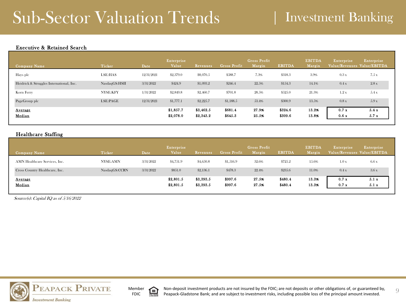## Sub-Sector Valuation Trends | Investment Banking

#### Executive & Retained Search

| Company Name                             | Ticker        | Date       | Enterprise<br>Value    | Revenues               | Gross Profit       | Gross Profit<br>Margin | <b>EBITDA</b>      | <b>EBITDA</b><br>Margin | Enterprise<br>Value/Revenues Value/EBITDA | Enterprise   |
|------------------------------------------|---------------|------------|------------------------|------------------------|--------------------|------------------------|--------------------|-------------------------|-------------------------------------------|--------------|
| Hays plc                                 | LSE:HAS       | 12/31/2021 | \$2,379.0              | \$8,070.5              | \$588.7            | 7.3%                   | \$318.3            | 3.9%                    | 0.3x                                      | 7.5 x        |
| Heidrick & Struggles International, Inc. | NasdaqGS:HSII | 3/31/2022  | \$424.9                | \$1,093.2              | \$246.4            | 22.5%                  | \$154.3            | 14.1%                   | 0.4x                                      | 2.8x         |
| Korn Ferry                               | NYSE:KFY      | 1/31/2022  | \$2,849.8              | \$2,460.7              | \$701.8            | 28.5%                  | \$525.0            | 21.3%                   | 1.2x                                      | 5.4x         |
| PageGroup plc                            | LSE:PAGE      | 12/31/2021 | \$1,777.1              | \$2,225.7              | \$1,188.5          | 53.4%                  | \$300.9            | 13.5%                   | 0.8x                                      | 5.9 x        |
| <b>Average</b><br>Median                 |               |            | \$1,857.7<br>\$2,078.0 | \$3,462.5<br>\$2,343.2 | \$681.4<br>\$645.3 | 27.9%<br>25.5%         | \$324.6<br>\$309.6 | 13.2%<br>13.8%          | 0.7 x<br>0.6x                             | 5.4x<br>5.7x |

#### Healthcare Staffing

| Company Name                    | Ticker        | Date      | Enterprise<br>Value    | Revenues               | Gross Profit       | Gross Profit<br>Margin | <b>EBITDA</b>      | <b>EBITDA</b><br>Margin | Enterprise    | Enterprise<br>Value/Revenues Value/EBITDA |
|---------------------------------|---------------|-----------|------------------------|------------------------|--------------------|------------------------|--------------------|-------------------------|---------------|-------------------------------------------|
| AMN Healthcare Services, Inc.   | NYSE:AMN      | 3/31/2022 | \$4,751.9              | \$4,650.8              | \$1,516.9          | 32.6%                  | \$725.2            | 15.6%                   | 1.0x          | 6.6 x                                     |
| Cross Country Healthcare, Inc.  | NasdaqGS:CCRN | 3/31/2022 | \$851.0                | \$2,136.1              | \$478.3            | 22.4%                  | \$235.6            | 11.0%                   | 0.4x          | 3.6x                                      |
| <b>Average</b><br><b>Median</b> |               |           | \$2,801.5<br>\$2,801.5 | \$3,393.5<br>\$3,393.5 | \$997.6<br>\$997.6 | 27.5%<br>27.5%         | \$480.4<br>\$480.4 | 13.3%<br>13.3%          | 0.7 x<br>0.7x | 5.1 x<br>5.1x                             |

Source(s): Capital IQ as of 5/16/2022





Non-deposit investment products are not insured by the FDIC; are not deposits or other obligations of, or guaranteed by,  $\qquad \qquad \odot$ Peapack-Gladstone Bank; and are subject to investment risks, including possible loss of the principal amount invested.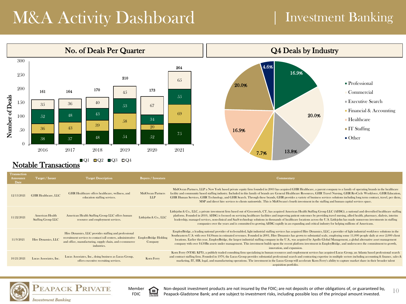# M&A Activity Dashboard

### | Investment Banking



 $\Box$ Q1  $\Box$ Q2  $\Box$ Q3  $\Box$ Q4 Notable Transactions

| MidOcean Partners, LLP a New York based private equity firm founded in 2003 has acquired GHR Healthcare, a parent company to a family of operating brands in the healthcare<br>facility and community based staffing industry. Included in this family of brands are General Healthcare Resources, GHR Travel Nursing, GHR RevCycle Workforce, GHR Education,<br>GHR Healthcare offers healthcare, wellness, and<br><b>MidOcean Partners</b><br><b>GHR Healthcare, LLC</b><br>12/13/2021<br><b>LLP</b><br>GHR Human Services, GHR Technology, and GHR Search. Through these brands, GHR provides a variety of business services solutions including long term contract, travel, per diem,<br>education staffing services.<br>MSP and direct hire services to clients nationwide. This is MidOceans's fourth investment in the staffing and human capital services space.                                                                                                                                                                          |  |
|---------------------------------------------------------------------------------------------------------------------------------------------------------------------------------------------------------------------------------------------------------------------------------------------------------------------------------------------------------------------------------------------------------------------------------------------------------------------------------------------------------------------------------------------------------------------------------------------------------------------------------------------------------------------------------------------------------------------------------------------------------------------------------------------------------------------------------------------------------------------------------------------------------------------------------------------------------------------------------------------------------------------------------------------------|--|
| Littlejohn & Co., LLC, a private investment firm based out of Greenwich, CT, has acquired American Health Staffing Group LLC (AHSG), a national and diversified healthcare staffing<br>platform. Founded in 2010, AHSG is focused on servicing healthcare facilities and improving patient outcomes by providing travel nursing, allied health, pharmacy, dialysis, interim<br><b>American Health</b><br>American Health Staffing Group LLC offers human<br>Littlejohn & Co., LLC<br>11/22/2021<br>Staffing Group LLC<br>resource and employment services.<br>leadership, managed services, non-clinical and SaaS technology solutions in thousands of healthcare locations across the U.S. Littlejohn has made numerous investments in staffing<br>companies over the years and is committed to growing AHSG rapidly in an expanding and critical industry for helping millions of Americans.                                                                                                                                                    |  |
| EmployBridge, a leading national provider of tech-enabled, light industrial staffing services has acquired Hire Dynamics, LLC, a provider of light industrial workforce solutions in the<br>Hire Dynamics, LLC provides staffing and professional<br>Southeastern U.S. with over \$450mm in estimated revenues. Founded in 2001, Hire Dynamics has grown to substantial scale, employing some 11,000 people daily at over 2,000 client<br>recruitment services to contact/call centers, administrative EmployBridge Holding<br>Hire Dynamics, LLC<br>11/9/2021<br>locations. Earlier this year, EmployBridge, the largest industrial staffing company in the U.S., was acquired by Apollo Global Management, a global alternative asset management<br>and office, manufacturing, supply chain, and e-commerce<br>Company<br>company with over \$450Bn assets under management. This investment builds upon the recent platform investment in EmployBridge, and underscores the commitment to growth,<br>industries.<br>innovation, and expansion. |  |
| Korn Ferry (NYSE: KFY), a publicly traded consulting firm specializing in human resources and employment services has acquired Lucas Group, an Atlanta based professional search<br>and contract staffing firm. Founded in 1970, the Lucas Group provides substantial professional search and contracting expertise in multiple sectors including accounting & finance, sales &<br>Lucas Associates, Inc., doing business as Lucas Group,<br>Lucas Associates, Inc.<br>10/21/2021<br>Korn Ferry<br>marketing, IT, HR, legal, and manufacturing operations. The investment in the Lucas Group will accelerate Korn Ferry's ability to capture market share in their broader talent<br>offers executive recruiting services.<br>acquisition portfolio.                                                                                                                                                                                                                                                                                              |  |



**Transaction** 



Non-deposit investment products are not insured by the FDIC; are not deposits or other obligations of, or guaranteed by,  $10$ 自 Peapack-Gladstone Bank; and are subject to investment risks, including possible loss of the principal amount invested.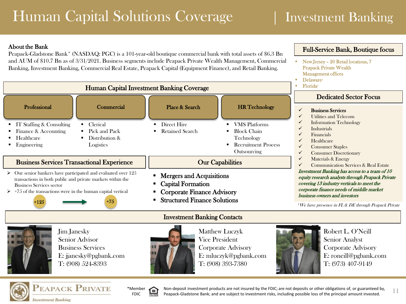## Human Capital Solutions Coverage

### | Investment Banking

 New Jersey – 20 Retail locations, 7 Peapack Private Wealth Management offices

Full-Service Bank, Boutique focus

### About the Bank

Peapack-Gladstone Bank<sup>\*</sup> (NASDAQ: PGC) is a 101-year-old boutique commercial bank with total assets of \$6.3 Bn and AUM of \$10.7 Bn as of 3/31/2021. Business segments include Peapack Private Wealth Management, Commercial Banking, Investment Banking, Commercial Real Estate, Peapack Capital (Equipment Finance), and Retail Banking.







Non-deposit investment products are not insured by the FDIC; are not deposits or other obligations of, or guaranteed by,  $11$ Peapack-Gladstone Bank; and are subject to investment risks, including possible loss of the principal amount invested.